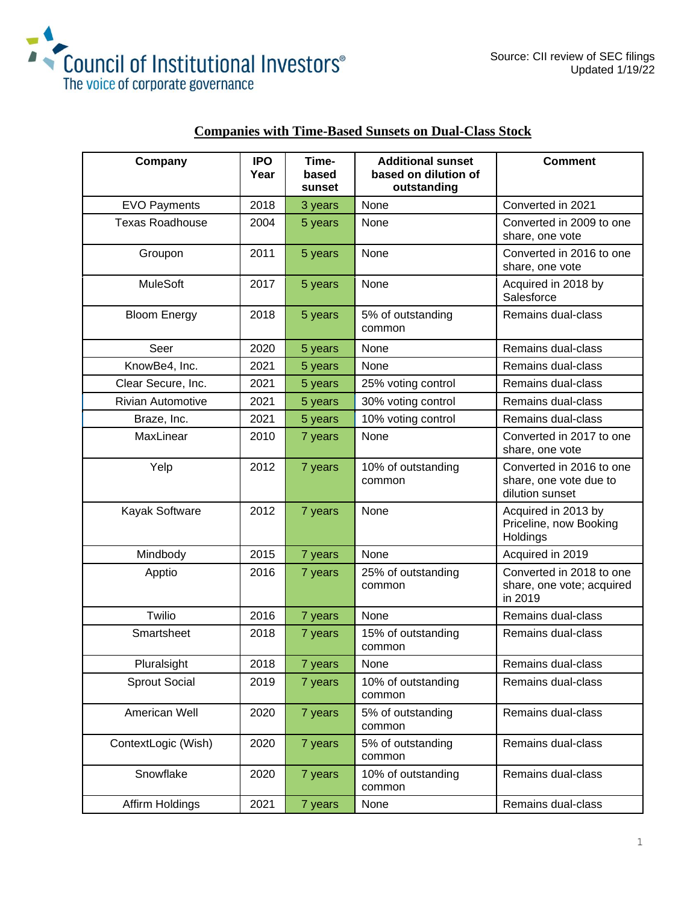



| Company                  | <b>IPO</b><br>Year | Time-<br>based<br>sunset | <b>Additional sunset</b><br>based on dilution of<br>outstanding | <b>Comment</b>                                                        |
|--------------------------|--------------------|--------------------------|-----------------------------------------------------------------|-----------------------------------------------------------------------|
| <b>EVO Payments</b>      | 2018               | 3 years                  | None                                                            | Converted in 2021                                                     |
| <b>Texas Roadhouse</b>   | 2004               | 5 years                  | None                                                            | Converted in 2009 to one<br>share, one vote                           |
| Groupon                  | 2011               | 5 years                  | None                                                            | Converted in 2016 to one<br>share, one vote                           |
| <b>MuleSoft</b>          | 2017               | 5 years                  | None                                                            | Acquired in 2018 by<br>Salesforce                                     |
| <b>Bloom Energy</b>      | 2018               | 5 years                  | 5% of outstanding<br>common                                     | Remains dual-class                                                    |
| Seer                     | 2020               | 5 years                  | None                                                            | Remains dual-class                                                    |
| KnowBe4, Inc.            | 2021               | 5 years                  | None                                                            | Remains dual-class                                                    |
| Clear Secure, Inc.       | 2021               | 5 years                  | 25% voting control                                              | Remains dual-class                                                    |
| <b>Rivian Automotive</b> | 2021               | 5 years                  | 30% voting control                                              | Remains dual-class                                                    |
| Braze, Inc.              | 2021               | 5 years                  | 10% voting control                                              | Remains dual-class                                                    |
| MaxLinear                | 2010               | 7 years                  | None                                                            | Converted in 2017 to one<br>share, one vote                           |
| Yelp                     | 2012               | 7 years                  | 10% of outstanding<br>common                                    | Converted in 2016 to one<br>share, one vote due to<br>dilution sunset |
| Kayak Software           | 2012               | 7 years                  | None                                                            | Acquired in 2013 by<br>Priceline, now Booking<br>Holdings             |
| Mindbody                 | 2015               | 7 years                  | None                                                            | Acquired in 2019                                                      |
| Apptio                   | 2016               | 7 years                  | 25% of outstanding<br>common                                    | Converted in 2018 to one<br>share, one vote; acquired<br>in 2019      |
| Twilio                   | 2016               | 7 years                  | None                                                            | Remains dual-class                                                    |
| Smartsheet               | 2018               | 7 years                  | 15% of outstanding<br>common                                    | Remains dual-class                                                    |
| Pluralsight              | 2018               | 7 years                  | None                                                            | Remains dual-class                                                    |
| <b>Sprout Social</b>     | 2019               | 7 years                  | 10% of outstanding<br>common                                    | Remains dual-class                                                    |
| American Well            | 2020               | 7 years                  | 5% of outstanding<br>common                                     | Remains dual-class                                                    |
| ContextLogic (Wish)      | 2020               | 7 years                  | 5% of outstanding<br>common                                     | Remains dual-class                                                    |
| Snowflake                | 2020               | 7 years                  | 10% of outstanding<br>common                                    | Remains dual-class                                                    |
| Affirm Holdings          | 2021               | 7 years                  | None                                                            | Remains dual-class                                                    |

## **Companies with Time-Based Sunsets on Dual-Class Stock**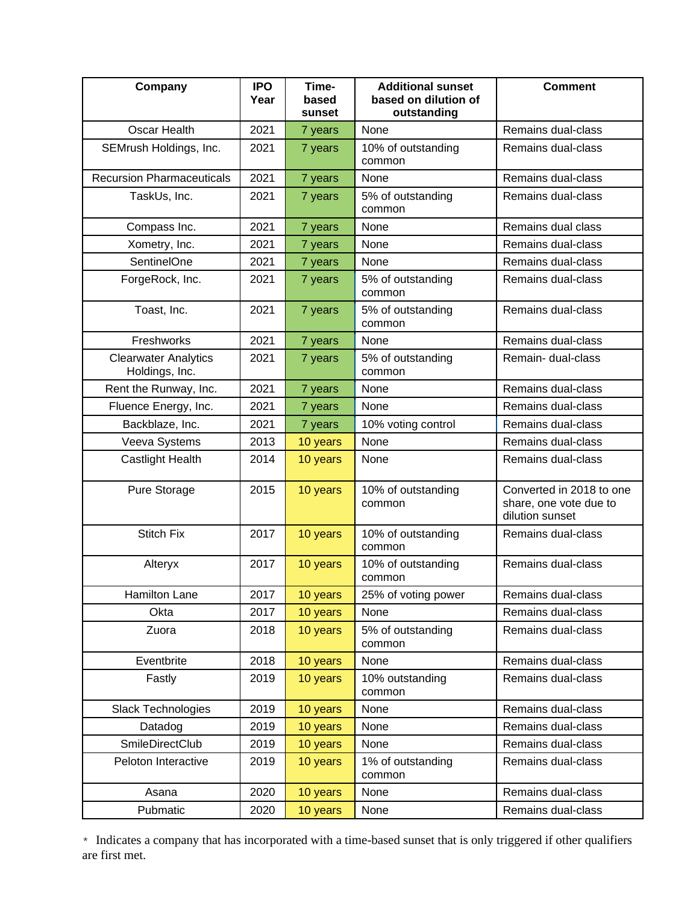| Company                                       | <b>IPO</b><br>Year | Time-<br>based<br>sunset | <b>Additional sunset</b><br>based on dilution of<br>outstanding | <b>Comment</b>                                                        |
|-----------------------------------------------|--------------------|--------------------------|-----------------------------------------------------------------|-----------------------------------------------------------------------|
| Oscar Health                                  | 2021               | 7 years                  | None                                                            | Remains dual-class                                                    |
| SEMrush Holdings, Inc.                        | 2021               | 7 years                  | 10% of outstanding<br>common                                    | Remains dual-class                                                    |
| <b>Recursion Pharmaceuticals</b>              | 2021               | 7 years                  | None                                                            | Remains dual-class                                                    |
| TaskUs, Inc.                                  | 2021               | 7 years                  | 5% of outstanding<br>common                                     | Remains dual-class                                                    |
| Compass Inc.                                  | 2021               | 7 years                  | None                                                            | Remains dual class                                                    |
| Xometry, Inc.                                 | 2021               | 7 years                  | None                                                            | Remains dual-class                                                    |
| SentinelOne                                   | 2021               | 7 years                  | None                                                            | Remains dual-class                                                    |
| ForgeRock, Inc.                               | 2021               | 7 years                  | 5% of outstanding<br>common                                     | Remains dual-class                                                    |
| Toast, Inc.                                   | 2021               | 7 years                  | 5% of outstanding<br>common                                     | Remains dual-class                                                    |
| Freshworks                                    | 2021               | 7 years                  | None                                                            | Remains dual-class                                                    |
| <b>Clearwater Analytics</b><br>Holdings, Inc. | 2021               | 7 years                  | 5% of outstanding<br>common                                     | Remain- dual-class                                                    |
| Rent the Runway, Inc.                         | 2021               | 7 years                  | None                                                            | Remains dual-class                                                    |
| Fluence Energy, Inc.                          | 2021               | 7 years                  | <b>None</b>                                                     | Remains dual-class                                                    |
| Backblaze, Inc.                               | 2021               | 7 years                  | 10% voting control                                              | Remains dual-class                                                    |
| Veeva Systems                                 | 2013               | 10 years                 | None                                                            | Remains dual-class                                                    |
| <b>Castlight Health</b>                       | 2014               | 10 years                 | None                                                            | Remains dual-class                                                    |
| Pure Storage                                  | 2015               | 10 years                 | 10% of outstanding<br>common                                    | Converted in 2018 to one<br>share, one vote due to<br>dilution sunset |
| <b>Stitch Fix</b>                             | 2017               | 10 years                 | 10% of outstanding<br>common                                    | Remains dual-class                                                    |
| Alteryx                                       | 2017               | 10 years                 | 10% of outstanding<br>common                                    | Remains dual-class                                                    |
| Hamilton Lane                                 | 2017               | 10 years                 | 25% of voting power                                             | Remains dual-class                                                    |
| Okta                                          | 2017               | 10 years                 | None                                                            | Remains dual-class                                                    |
| Zuora                                         | 2018               | 10 years                 | 5% of outstanding<br>common                                     | Remains dual-class                                                    |
| Eventbrite                                    | 2018               | 10 years                 | None                                                            | Remains dual-class                                                    |
| Fastly                                        | 2019               | 10 years                 | 10% outstanding<br>common                                       | Remains dual-class                                                    |
| Slack Technologies                            | 2019               | 10 years                 | None                                                            | Remains dual-class                                                    |
| Datadog                                       | 2019               | 10 years                 | None                                                            | Remains dual-class                                                    |
| SmileDirectClub                               | 2019               | 10 years                 | None                                                            | Remains dual-class                                                    |
| Peloton Interactive                           | 2019               | 10 years                 | 1% of outstanding<br>common                                     | Remains dual-class                                                    |
| Asana                                         | 2020               | 10 years                 | None                                                            | Remains dual-class                                                    |
| Pubmatic                                      | 2020               | 10 years                 | None                                                            | Remains dual-class                                                    |

\* Indicates a company that has incorporated with a time-based sunset that is only triggered if other qualifiers are first met.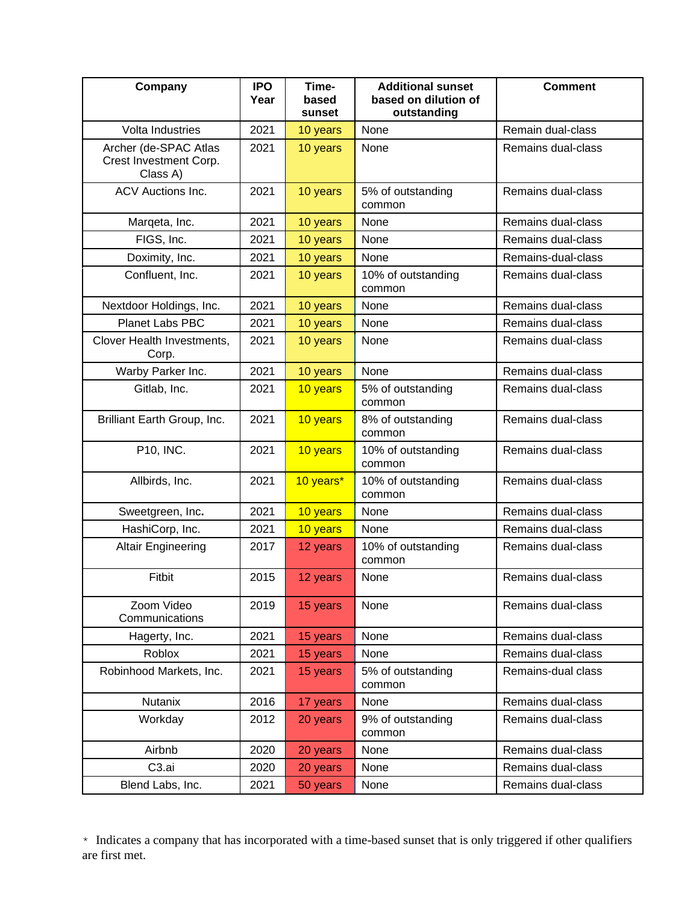| Company                                                     | <b>IPO</b><br>Year | Time-<br>based<br>sunset | <b>Additional sunset</b><br>based on dilution of<br>outstanding | <b>Comment</b>     |
|-------------------------------------------------------------|--------------------|--------------------------|-----------------------------------------------------------------|--------------------|
| Volta Industries                                            | 2021               | 10 years                 | None                                                            | Remain dual-class  |
| Archer (de-SPAC Atlas<br>Crest Investment Corp.<br>Class A) | 2021               | 10 years                 | None                                                            | Remains dual-class |
| <b>ACV Auctions Inc.</b>                                    | 2021               | 10 years                 | 5% of outstanding<br>common                                     | Remains dual-class |
| Marqeta, Inc.                                               | 2021               | 10 years                 | None                                                            | Remains dual-class |
| FIGS, Inc.                                                  | 2021               | 10 years                 | None                                                            | Remains dual-class |
| Doximity, Inc.                                              | 2021               | 10 years                 | None                                                            | Remains-dual-class |
| Confluent, Inc.                                             | 2021               | 10 years                 | 10% of outstanding<br>common                                    | Remains dual-class |
| Nextdoor Holdings, Inc.                                     | 2021               | 10 years                 | None                                                            | Remains dual-class |
| Planet Labs PBC                                             | 2021               | 10 years                 | None                                                            | Remains dual-class |
| Clover Health Investments,<br>Corp.                         | 2021               | 10 years                 | None                                                            | Remains dual-class |
| Warby Parker Inc.                                           | 2021               | 10 years                 | None                                                            | Remains dual-class |
| Gitlab, Inc.                                                | 2021               | 10 years                 | 5% of outstanding<br>common                                     | Remains dual-class |
| Brilliant Earth Group, Inc.                                 | 2021               | 10 years                 | 8% of outstanding<br>common                                     | Remains dual-class |
| P10, INC.                                                   | 2021               | 10 years                 | 10% of outstanding<br>common                                    | Remains dual-class |
| Allbirds, Inc.                                              | 2021               | 10 years*                | 10% of outstanding<br>common                                    | Remains dual-class |
| Sweetgreen, Inc.                                            | 2021               | 10 years                 | None                                                            | Remains dual-class |
| HashiCorp, Inc.                                             | 2021               | 10 years                 | None                                                            | Remains dual-class |
| <b>Altair Engineering</b>                                   | 2017               | 12 years                 | 10% of outstanding<br>common                                    | Remains dual-class |
| Fitbit                                                      | 2015               | 12 years                 | None                                                            | Remains dual-class |
| Zoom Video<br>Communications                                | 2019               | 15 years                 | None                                                            | Remains dual-class |
| Hagerty, Inc.                                               | 2021               | 15 years                 | None                                                            | Remains dual-class |
| Roblox                                                      | 2021               | 15 years                 | None                                                            | Remains dual-class |
| Robinhood Markets, Inc.                                     | 2021               | 15 years                 | 5% of outstanding<br>common                                     | Remains-dual class |
| <b>Nutanix</b>                                              | 2016               | 17 years                 | None                                                            | Remains dual-class |
| Workday                                                     | 2012               | 20 years                 | 9% of outstanding<br>common                                     | Remains dual-class |
| Airbnb                                                      | 2020               | 20 years                 | None                                                            | Remains dual-class |
| C <sub>3.ai</sub>                                           | 2020               | 20 years                 | None                                                            | Remains dual-class |
| Blend Labs, Inc.                                            | 2021               | 50 years                 | None                                                            | Remains dual-class |

\* Indicates a company that has incorporated with a time-based sunset that is only triggered if other qualifiers are first met.